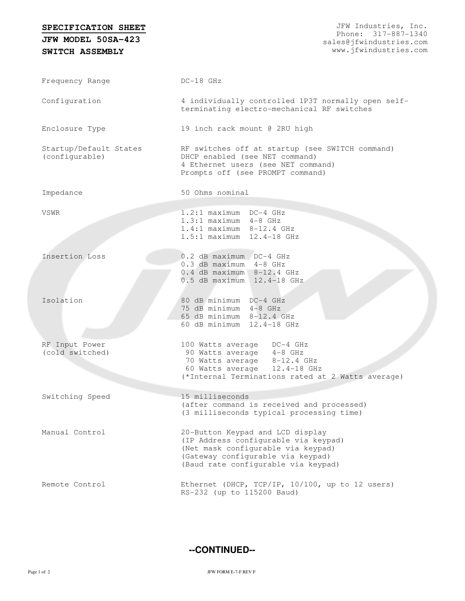## **SPECIFICATION SHEET**

**SWITCH ASSEMBLY JFW MODEL 50SA-423**

| Frequency Range                          | $DC-18$ GHz                                                                                                                                                                                |
|------------------------------------------|--------------------------------------------------------------------------------------------------------------------------------------------------------------------------------------------|
| Configuration                            | 4 individually controlled 1P3T normally open self-<br>terminating electro-mechanical RF switches                                                                                           |
| Enclosure Type                           | 19 inch rack mount @ 2RU high                                                                                                                                                              |
| Startup/Default States<br>(configurable) | RF switches off at startup (see SWITCH command)<br>DHCP enabled (see NET command)<br>4 Ethernet users (see NET command)<br>Prompts off (see PROMPT command)                                |
| Impedance                                | 50 Ohms nominal                                                                                                                                                                            |
| VSWR                                     | 1.2:1 maximum DC-4 GHz<br>$1.3:1$ maximum $4-8$ GHz<br>$1.4:1$ maximum $8-12.4$ GHz<br>1.5:1 maximum 12.4-18 GHz                                                                           |
| Insertion Loss                           | 0.2 dB maximum DC-4 GHz<br>$0.3$ dB maximum $4-8$ GHz<br>$0.4$ dB maximum $8-12.4$ GHz<br>0.5 dB maximum 12.4-18 GHz                                                                       |
| Isolation                                | 80 dB minimum DC-4 GHz<br>75 dB minimum 4-8 GHz<br>65 dB minimum 8-12.4 GHz<br>60 dB minimum 12.4-18 GHz                                                                                   |
| RF Input Power<br>(cold switched)        | 100 Watts average DC-4 GHz<br>90 Watts average 4-8 GHz<br>70 Watts average 8-12.4 GHz<br>60 Watts average 12.4-18 GHz<br>(*Internal Terminations rated at 2 Watts average)                 |
| Switching Speed                          | 15 milliseconds<br>(after command is received and processed)<br>(3 milliseconds typical processing time)                                                                                   |
| Manual Control                           | 20-Button Keypad and LCD display<br>(IP Address configurable via keypad)<br>(Net mask configurable via keypad)<br>(Gateway configurable via keypad)<br>(Baud rate configurable via keypad) |
| Remote Control                           | Ethernet (DHCP, TCP/IP, 10/100, up to 12 users)<br>RS-232 (up to 115200 Baud)                                                                                                              |

**--CONTINUED--**